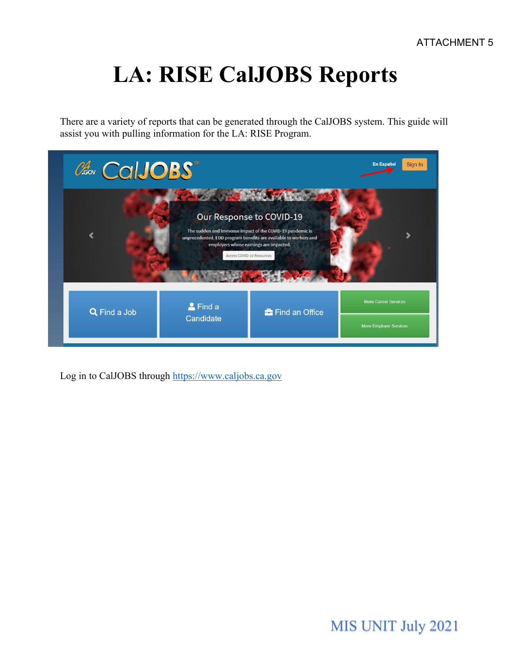# **LA: RISE CalJOBS Reports**

There are a variety of reports that can be generated through the CalJOBS system. This guide will assist you with pulling information for the LA: RISE Program.

| CalJOBS      |                           |                                                                                                                                                                                                                                                                                                                                                                                                                                             | <b>En Español</b><br>Sign In                                 |
|--------------|---------------------------|---------------------------------------------------------------------------------------------------------------------------------------------------------------------------------------------------------------------------------------------------------------------------------------------------------------------------------------------------------------------------------------------------------------------------------------------|--------------------------------------------------------------|
|              | Access COVID-19 Resources | <b>Contract of the Contract of the Contract of the Contract of the Contract of the Contract of the Contract of the Contract of the Contract of the Contract of The Contract of The Contract of The Contract of The Contract of T</b><br>Our Response to COVID-19<br>The sudden and immense impact of the COVID-19 pandemic is<br>unprecedented. EDD program benefits are available to workers and<br>employers whose earnings are impacted. |                                                              |
| Q Find a Job | & Find a<br>Candidate     | <b>f</b> Find an Office                                                                                                                                                                                                                                                                                                                                                                                                                     | <b>More Career Services</b><br><b>More Employer Services</b> |

Log in to CalJOBS through [https://www.caljobs.ca.gov](https://www.caljobs.ca.gov/)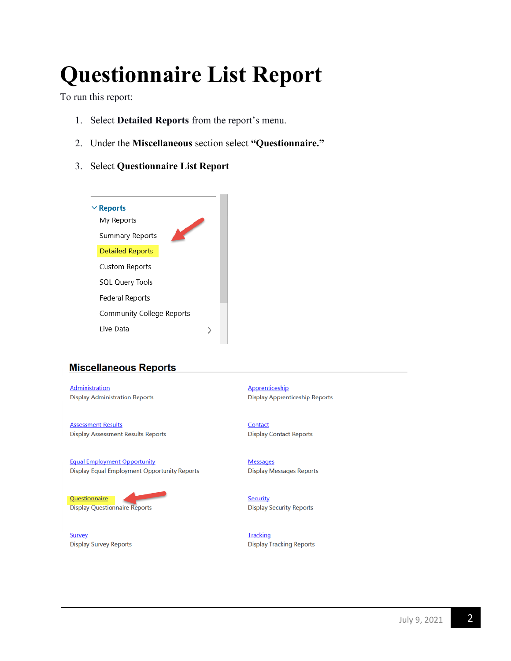# **Questionnaire List Report**

To run this report:

- 1. Select **Detailed Reports** from the report's menu.
- 2. Under the **Miscellaneous** section select **"Questionnaire."**
- 3. Select **Questionnaire List Report**



# **Miscellaneous Reports**

**Administration Display Administration Reports** 

**Assessment Results Display Assessment Results Reports** 

**Equal Employment Opportunity** Display Equal Employment Opportunity Reports

#### Questionnaire **Display Questionnaire Reports**

**Survey Display Survey Reports**  Apprenticeship **Display Apprenticeship Reports** 

Contact **Display Contact Reports** 

**Messages Display Messages Reports** 

Security **Display Security Reports** 

**Tracking Display Tracking Reports**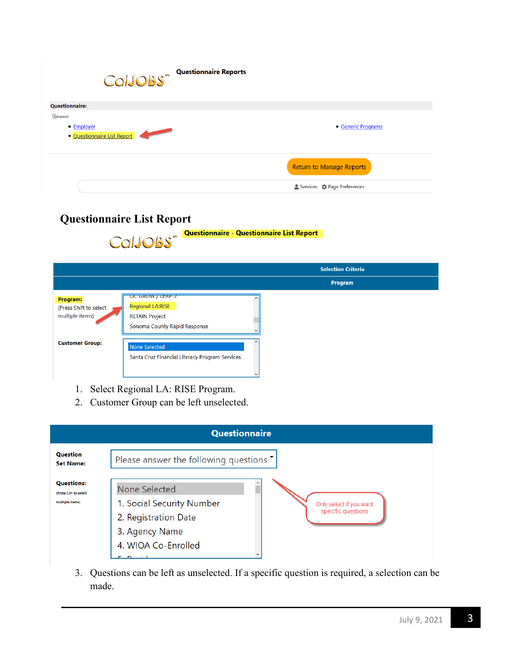| CalJOBS <sup>" Questionnaire Reports</sup>            |                                      |
|-------------------------------------------------------|--------------------------------------|
| <b>Questionnaire:</b>                                 |                                      |
| Advanced<br>• Employer<br>· Questionnaire List Report | • Generic Programs                   |
|                                                       | <b>Return to Manage Reports</b>      |
|                                                       | Services <b>C</b> : Page Preferences |

# **Questionnaire List Report**

|                                                       | <b>Questionnaire - Questionnaire List Report</b><br>CalJOBS"                                         |                           |
|-------------------------------------------------------|------------------------------------------------------------------------------------------------------|---------------------------|
|                                                       |                                                                                                      | <b>Selection Criteria</b> |
|                                                       |                                                                                                      | Program                   |
| Program:<br>(Press Shift to select<br>multiple items) | UC GROW / LEAP-Z<br><b>Regional LA:RISE</b><br><b>RETAIN Project</b><br>Sonoma County Rapid Response |                           |
| <b>Customer Group:</b>                                | None Selected<br>Santa Cruz Financial Literacy Program Services                                      |                           |

Questionnaire - Questionnaire List Report

- 1. Select Regional LA: RISE Program.
- 2. Customer Group can be left unselected.



3. Questions can be left as unselected. If a specific question is required, a selection can be made.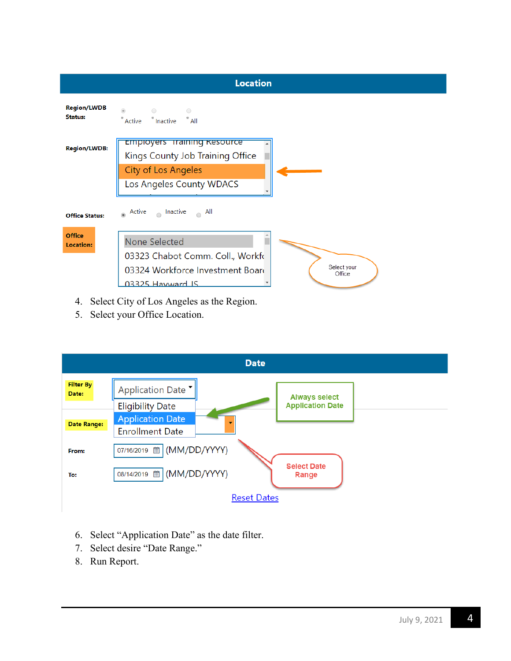

- 4. Select City of Los Angeles as the Region.
- 5. Select your Office Location.



- 6. Select "Application Date" as the date filter.
- 7. Select desire "Date Range."
- 8. Run Report.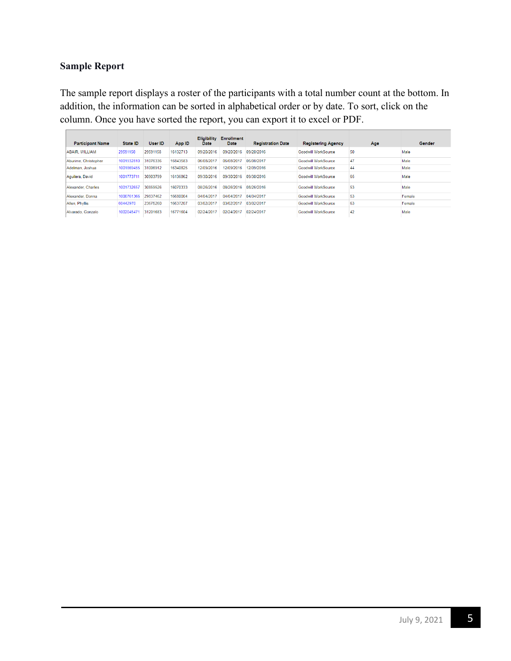### **Sample Report**

The sample report displays a roster of the participants with a total number count at the bottom. In addition, the information can be sorted in alphabetical order or by date. To sort, click on the column. Once you have sorted the report, you can export it to excel or PDF.

| <b>Participant Name</b> | <b>State ID</b> | User ID  | App ID   | <b>Eligibility</b><br>Date | <b>Enrollment</b><br><b>Date</b> | <b>Registration Date</b> | <b>Registering Agency</b> | Age | <b>Gender</b> |
|-------------------------|-----------------|----------|----------|----------------------------|----------------------------------|--------------------------|---------------------------|-----|---------------|
| <b>ABAIR, WILLIAM</b>   | 29591158        | 29591158 | 16132713 | 09/20/2016                 | 09/20/2016                       | 09/20/2016               | Goodwill WorkSource       | 50  | Male          |
| Aburime, Christopher    | 1001932810      | 31076336 | 16843583 | 06/08/2017                 | 06/08/2011                       | 06/08/2017               | 47<br>Goodwill WorkSource |     | Male          |
| Adelman, Joshua         | 1001869455      | 31006912 | 16340825 | 12/09/2016                 | 12/09/2016                       | 12/09/2016               | Goodwill WorkSource       | 44  | Male          |
| Aquilera, David         | 1001773711      | 30903799 | 16136862 | 09/30/2016                 | 09/30/2016                       | 09/30/2016               | Goodwill WorkSource       | 65  | Male          |
| Alexander, Charles      | 1001732657      | 30859526 | 16070333 | 08/26/2016                 | 08/26/2016                       | 08/26/2016               | Goodwill WorkSource       | 53  | Male          |
| Alexander, Donna        | 1000761366      | 29837462 | 16680004 | 04/04/2017                 | 04/04/2017                       | 04/04/2017               | Goodwill WorkSource       | 53  | Female        |
| Allen, Phyllis          | 60442970        | 23675260 | 16637207 | 03/02/2017                 | 03/02/2017                       | 03/02/2017               | Goodwill WorkSource       | 63  | Female        |
| Alvarado, Gonzalo       | 100204547       | 31201683 | 16771604 | 02/24/2017                 | 02/24/2017                       | 02/24/2017               | Goodwill WorkSource       | 42  | Male          |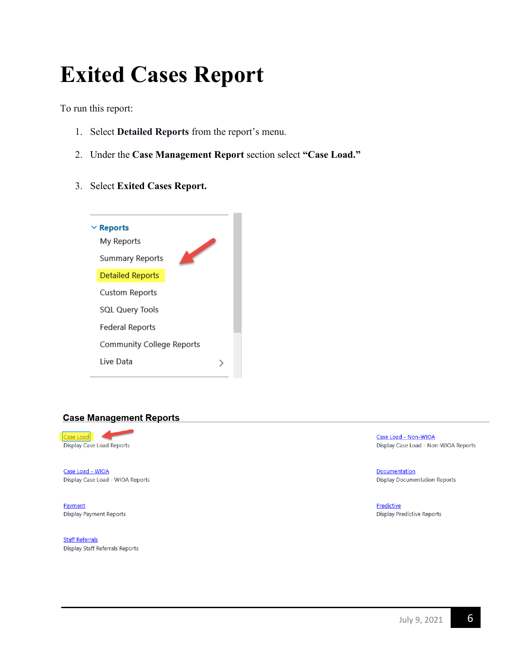# **Exited Cases Report**

To run this report:

- 1. Select **Detailed Reports** from the report's menu.
- 2. Under the **Case Management Report** section select **"Case Load."**
- 3. Select **Exited Cases Report.**



#### **Case Management Reports**



Case Load - WIOA Display Case Load - WIOA Reports

Payment **Display Payment Reports** 

**Staff Referrals Display Staff Referrals Reports**  Case Load - Non-WIOA Display Case Load - Non-WIOA Reports

**Documentation Display Documentation Reports** 

Predictive **Display Predictive Reports**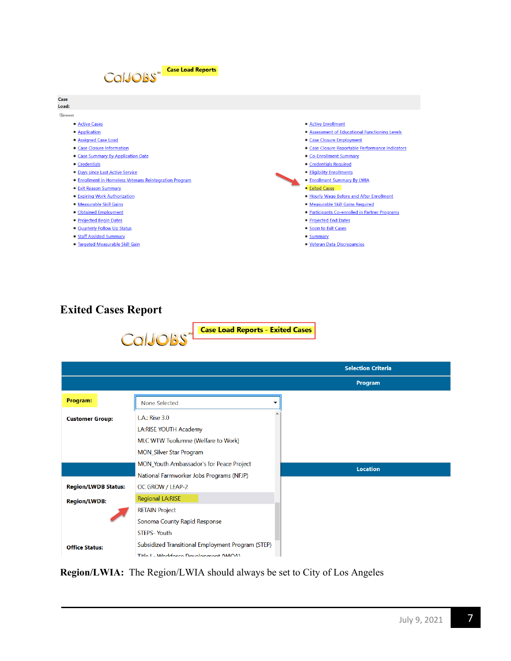

· Targeted Measurable Skill Gain

#### · Active Enrollment

- · Assessment of Educational Functioning Levels
- Case Closure Employment
- · Case Closure Reportable Performance Indicators
- Co-Enrollment Summary
- · Credentials Required
- · Eligibility Enrollments
- · Enrollment Summary By LWIA
- **Exited Cases**
- · Hourly Wage Before and After Enrollment
- · Measurable Skill Gains Required
- · Participants Co-enrolled in Partner Programs
- **Projected End Dates**
- Soon to Exit Cases
- 
- · Veteran Data Discrepancies

# **Exited Cases Report**





**Region/LWIA:** The Region/LWIA should always be set to City of Los Angeles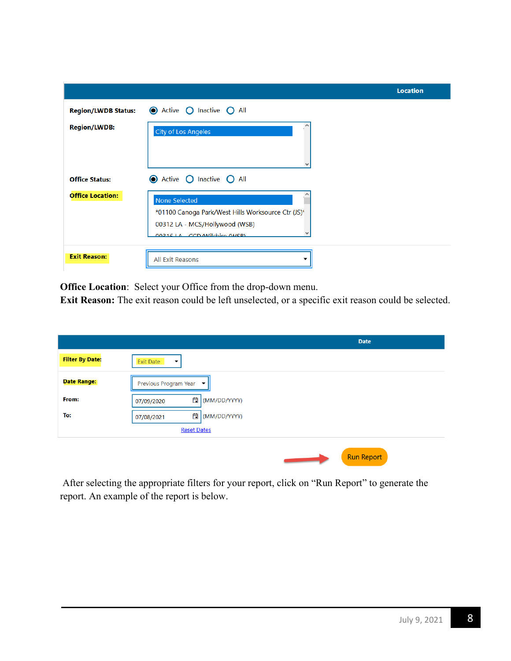|                            |                                                                                                                                       | <b>Location</b> |
|----------------------------|---------------------------------------------------------------------------------------------------------------------------------------|-----------------|
| <b>Region/LWDB Status:</b> | C Active O Inactive O All                                                                                                             |                 |
| <b>Region/LWDB:</b>        | <b>City of Los Angeles</b>                                                                                                            |                 |
| <b>Office Status:</b>      | ● Active ● Inactive ● All                                                                                                             |                 |
| <b>Office Location:</b>    | None Selected<br>*01100 Canoga Park/West Hills Worksource Ctr (JS)*<br>00312 LA - MCS/Hollywood (WSB)<br>00216 LA CCD AMilebiro AMCDL |                 |
| <b>Exit Reason:</b>        | <b>All Exit Reasons</b>                                                                                                               |                 |

**Office Location**: Select your Office from the drop-down menu.

**Exit Reason:** The exit reason could be left unselected, or a specific exit reason could be selected.

|                        |                                              | <b>Date</b>       |
|------------------------|----------------------------------------------|-------------------|
| <b>Filter By Date:</b> | <b>Exit Date</b><br>$\overline{\phantom{a}}$ |                   |
| <b>Date Range:</b>     | Previous Program Year ▼                      |                   |
| From:                  | 自<br>(MM/DD/YYYY)<br>07/09/2020              |                   |
| To:                    | 自<br>(MM/DD/YYYY)<br>07/08/2021              |                   |
|                        | <b>Reset Dates</b>                           |                   |
|                        |                                              |                   |
|                        |                                              | <b>Run Report</b> |

After selecting the appropriate filters for your report, click on "Run Report" to generate the report. An example of the report is below.